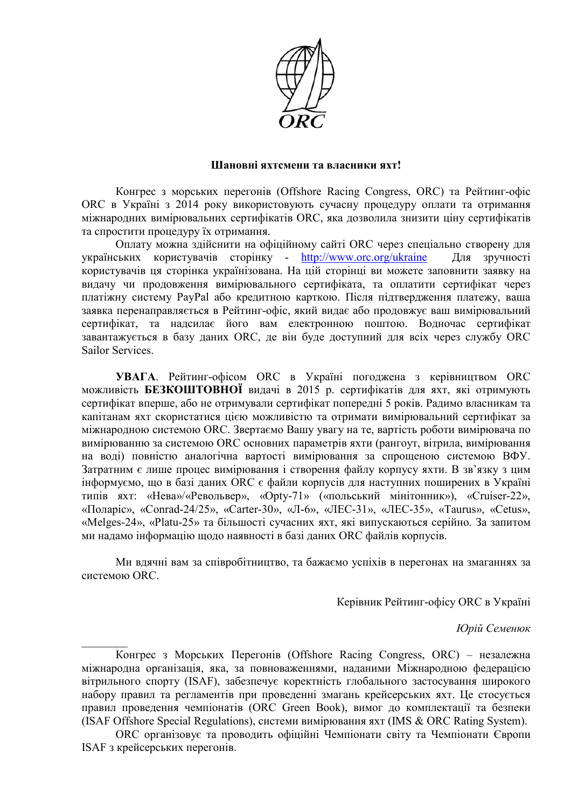

## Шановні яхтсмени та власники яхт!

Конгрес з морських перегонів (Offshore Racing Congress, ORC) та Рейтинг-офіс ОВС в Україні з 2014 року використовують сучасну процедуру оплати та отримання міжнародних вимірювальних сертифікатів ORC, яка дозволила знизити ціну сертифікатів та спростити процедуру їх отримання.

Оплату можна здійснити на офіційному сайті ORC через спеціально створену для  $VKB$ ичераїнських користувачів сторінку - http://www.orc.org/ukraine Для зручності користувачів ця сторінка українізована. На цій сторінці ви можете заповнити заявку на видачу чи продовження вимірювального сертифіката, та оплатити сертифікат через платіжну систему PayPal або кредитною карткою. Після підтвердження платежу, ваша заявка перенаправляється в Рейтинг-офіс, який видає або продовжує ваш вимірювальний сертифікат, та надсилає його вам електронною поштою. Водночас сертифікат завантажується в базу даних ORC, де він буде доступний для всіх через службу ORC Sailor Services

УВАГА. Рейтинг-офісом ORC в Україні погоджена з керівництвом ORC можливість БЕЗКОШТОВНОЇ видачі в 2015 р. сертифікатів для яхт, які отримують сертифікат вперше, або не отримували сертифікат попередні 5 років. Радимо власникам та капітанам яхт скористатися цією можливістю та отримати вимірювальний сертифікат за міжнародною системою ORC. Звертаємо Вашу увагу на те, вартість роботи вимірювача по вимірюванню за системою ORC основних параметрів яхти (рангоут, вітрила, вимірювання на воді) повністю аналогічна вартості вимірювання за спрощеною системою ВФУ. Затратним є лише процес вимірювання і створення файлу корпусу яхти. В зв'язку з цим інформуємо, що в базі даних ORC є файли корпусів для наступних поширених в Україні типів яхт: «Нева»/«Револьвер», «Opty-71» («польський мінітонник»), «Cruiser-22», «Поларіє», «Conrad-24/25», «Carter-30», «Л-6», «ЛЕС-31», «ЛЕС-35», «Taurus», «Cetus», «Melges-24», «Platu-25» та більшості сучасних яхт, які випускаються серійно. За запитом ми надамо інформацію щодо наявності в базі даних ORC файлів корпусів.

Ми влячні вам за співробітништво, та бажаємо успіхів в перегонах на змаганнях за системою ORC.

Керівник Рейтинг-офісу ORC в Україні

Юрій Семенюк

Конгрес з Морських Перегонів (Offshore Racing Congress, ORC) - незалежна міжнародна організація, яка, за повноваженнями, наданими Міжнародною федерацією вітрильного спорту (ISAF), забезпечує коректність глобального застосування широкого набору правил та регламентів при проведенні змагань крейсерських яхт. Це стосується правил проведення чемпіонатів (ORC Green Book), вимог до комплектації та безпеки (ISAF Offshore Special Regulations), системи вимірювання яхт (IMS & ORC Rating System).

ОКС організовує та проводить офіційні Чемпіонати світу та Чемпіонати Європи ISAF з крейсерських перегонів.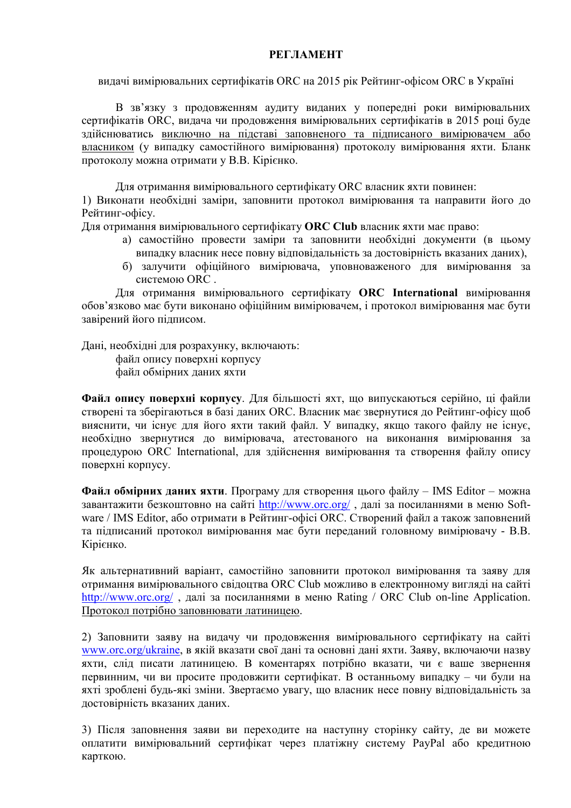## **PELIAMEHT**

видачі вимірювальних сертифікатів ORC на 2015 рік Рейтинг-офісом ORC в Україні

В зв'язку з продовженням аудиту виданих у попередні роки вимірювальних сертифікатів ORC, видача чи продовження вимірювальних сертифікатів в 2015 році буде здійснюватись виключно на підставі заповненого та підписаного вимірювачем або власником (у випадку самостійного вимірювання) протоколу вимірювання яхти. Бланк протоколу можна отримати у В.В. Кірієнко.

Для отримання вимірювального сертифікату ORC власник яхти повинен: 1) Виконати необхідні заміри, заповнити протокол вимірювання та направити його до Рейтинг-офісу.

Для отримання вимірювального сертифікату **ORC Club** власник яхти має право:

- а) самостійно провести заміри та заповнити необхілні локументи (в цьому випадку власник несе повну відповідальність за достовірність вказаних даних),
- б) залучити офіційного вимірювача, уповноваженого для вимірювання за системою ORC.

Для отримання вимірювального сертифікату ORC International вимірювання обов'язково має бути виконано офіційним вимірювачем, і протокол вимірювання має бути завірений його підписом.

Дані, необхідні для розрахунку, включають:

файл опису поверхні корпусу файл обмірних даних яхти

Файл опису поверхні корпусу. Для більшості яхт, що випускаються серійно, ці файли створені та зберігаються в базі даних ORC. Власник має звернутися до Рейтинг-офісу щоб вияснити, чи існує для його яхти такий файл. У випадку, якщо такого файлу не існує, необхілно звернутися до вимірювача, атестованого на виконання вимірювання за процедурою ORC International, для здійснення вимірювання та створення файлу опису поверхні корпусу.

Файл обмірних даних яхти. Програму для створення цього файлу - IMS Editor - можна завантажити безкоштовно на сайті http://www.orc.org/, далі за посиланнями в меню Software / IMS Editor, або отримати в Рейтинг-офісі ORC. Створений файл а також заповнений та підписаний протокол вимірювання має бути переданий головному вимірювачу - В.В. Кірієнко.

Як альтернативний варіант, самостійно заповнити протокол вимірювання та заяву для отримання вимірювального свідоцтва ORC Club можливо в електронному вигляді на сайті http://www.orc.org/, далі за посиланнями в меню Rating / ORC Club on-line Application. Протокол потрібно заповнювати латиницею.

2) Заповнити заяву на видачу чи продовження вимірювального сертифікату на сайті www.orc.org/ukraine, в якій вказати свої дані та основні дані яхти. Заяву, включаючи назву яхти, слід писати латиницею. В коментарях потрібно вказати, чи є ваше звернення первинним, чи ви просите продовжити сертифікат. В останньому випадку - чи були на яхті зроблені будь-які зміни. Звертаємо увагу, що власник несе повну відповідальність за достовірність вказаних даних.

3) Після заповнення заяви ви переходите на наступну сторінку сайту, де ви можете оплатити вимірювальний сертифікат через платіжну систему PayPal або кредитною карткою.